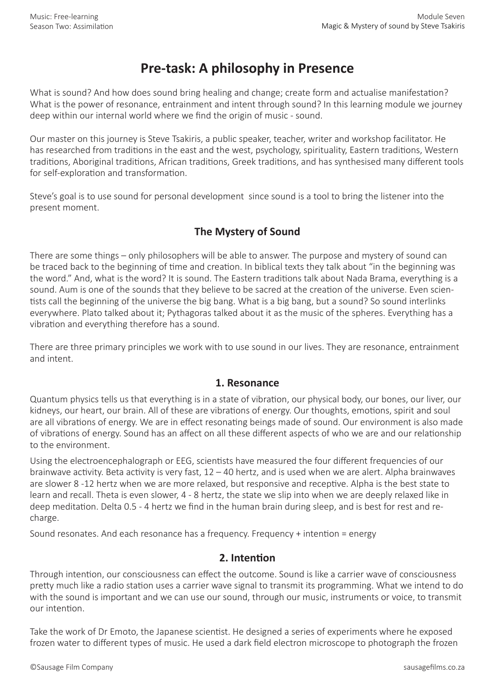# **Pre-task: A philosophy in Presence**

What is sound? And how does sound bring healing and change; create form and actualise manifestation? What is the power of resonance, entrainment and intent through sound? In this learning module we journey deep within our internal world where we find the origin of music - sound.

Our master on this journey is Steve Tsakiris, a public speaker, teacher, writer and workshop facilitator. He has researched from traditions in the east and the west, psychology, spirituality, Eastern traditions, Western traditions, Aboriginal traditions, African traditions, Greek traditions, and has synthesised many different tools for self-exploration and transformation.

Steve's goal is to use sound for personal development since sound is a tool to bring the listener into the present moment.

## **The Mystery of Sound**

There are some things – only philosophers will be able to answer. The purpose and mystery of sound can be traced back to the beginning of time and creation. In biblical texts they talk about "in the beginning was the word." And, what is the word? It is sound. The Eastern traditions talk about Nada Brama, everything is a sound. Aum is one of the sounds that they believe to be sacred at the creation of the universe. Even scientists call the beginning of the universe the big bang. What is a big bang, but a sound? So sound interlinks everywhere. Plato talked about it; Pythagoras talked about it as the music of the spheres. Everything has a vibration and everything therefore has a sound.

There are three primary principles we work with to use sound in our lives. They are resonance, entrainment and intent.

#### **1. Resonance**

Quantum physics tells us that everything is in a state of vibration, our physical body, our bones, our liver, our kidneys, our heart, our brain. All of these are vibrations of energy. Our thoughts, emotions, spirit and soul are all vibrations of energy. We are in effect resonating beings made of sound. Our environment is also made of vibrations of energy. Sound has an affect on all these different aspects of who we are and our relationship to the environment.

Using the electroencephalograph or EEG, scientists have measured the four different frequencies of our brainwave activity. Beta activity is very fast, 12 – 40 hertz, and is used when we are alert. Alpha brainwaves are slower 8 -12 hertz when we are more relaxed, but responsive and receptive. Alpha is the best state to learn and recall. Theta is even slower, 4 - 8 hertz, the state we slip into when we are deeply relaxed like in deep meditation. Delta 0.5 - 4 hertz we find in the human brain during sleep, and is best for rest and recharge.

Sound resonates. And each resonance has a frequency. Frequency + intention = energy

### **2. Intention**

Through intention, our consciousness can effect the outcome. Sound is like a carrier wave of consciousness pretty much like a radio station uses a carrier wave signal to transmit its programming. What we intend to do with the sound is important and we can use our sound, through our music, instruments or voice, to transmit our intention.

Take the work of Dr Emoto, the Japanese scientist. He designed a series of experiments where he exposed frozen water to different types of music. He used a dark field electron microscope to photograph the frozen